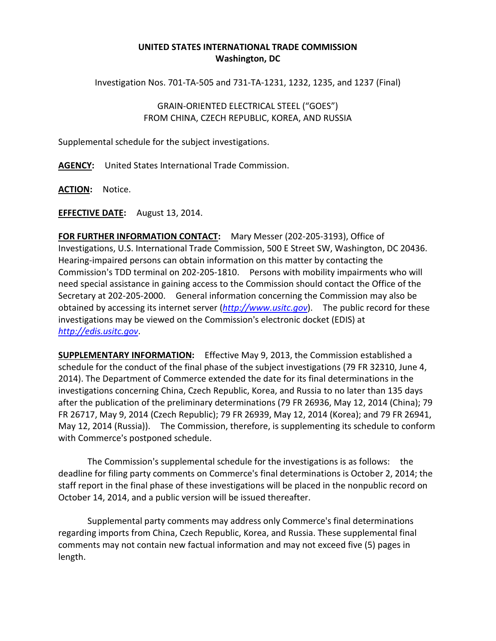## **UNITED STATES INTERNATIONAL TRADE COMMISSION Washington, DC**

Investigation Nos. 701-TA-505 and 731-TA-1231, 1232, 1235, and 1237 (Final)

## GRAIN-ORIENTED ELECTRICAL STEEL ("GOES") FROM CHINA, CZECH REPUBLIC, KOREA, AND RUSSIA

Supplemental schedule for the subject investigations.

**AGENCY:** United States International Trade Commission.

**ACTION:** Notice.

**EFFECTIVE DATE:** August 13, 2014.

**FOR FURTHER INFORMATION CONTACT:** Mary Messer (202-205-3193), Office of Investigations, U.S. International Trade Commission, 500 E Street SW, Washington, DC 20436. Hearing-impaired persons can obtain information on this matter by contacting the Commission's TDD terminal on 202-205-1810. Persons with mobility impairments who will need special assistance in gaining access to the Commission should contact the Office of the Secretary at 202-205-2000. General information concerning the Commission may also be obtained by accessing its internet server (*[http://www.usitc.gov](http://www.usitc.gov/)*). The public record for these investigations may be viewed on the Commission's electronic docket (EDIS) at *[http://edis.usitc.gov](http://edis.usitc.gov/)*.

**SUPPLEMENTARY INFORMATION:** Effective May 9, 2013, the Commission established a schedule for the conduct of the final phase of the subject investigations (79 FR 32310, June 4, 2014). The Department of Commerce extended the date for its final determinations in the investigations concerning China, Czech Republic, Korea, and Russia to no later than 135 days after the publication of the preliminary determinations (79 FR 26936, May 12, 2014 (China); 79 FR 26717, May 9, 2014 (Czech Republic); 79 FR 26939, May 12, 2014 (Korea); and 79 FR 26941, May 12, 2014 (Russia)). The Commission, therefore, is supplementing its schedule to conform with Commerce's postponed schedule.

The Commission's supplemental schedule for the investigations is as follows: the deadline for filing party comments on Commerce's final determinations is October 2, 2014; the staff report in the final phase of these investigations will be placed in the nonpublic record on October 14, 2014, and a public version will be issued thereafter.

Supplemental party comments may address only Commerce's final determinations regarding imports from China, Czech Republic, Korea, and Russia. These supplemental final comments may not contain new factual information and may not exceed five (5) pages in length.